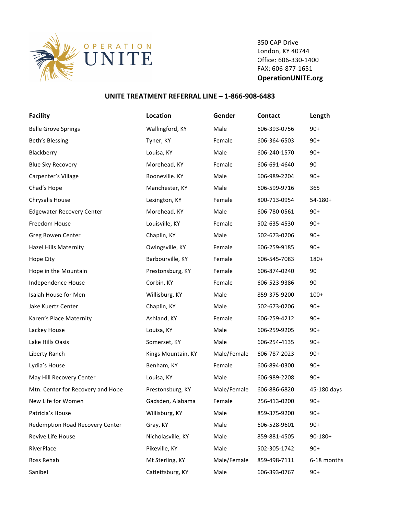

350 CAP Drive London, KY 40744 Office: 606-330-1400 FAX: 606-877-1651 **OperationUNITE.org**

## **UNITE TREATMENT REFERRAL LINE - 1-866-908-6483**

| <b>Facility</b>                   | Location           | Gender      | Contact      | Length       |
|-----------------------------------|--------------------|-------------|--------------|--------------|
| <b>Belle Grove Springs</b>        | Wallingford, KY    | Male        | 606-393-0756 | $90+$        |
| Beth's Blessing                   | Tyner, KY          | Female      | 606-364-6503 | $90+$        |
| Blackberry                        | Louisa, KY         | Male        | 606-240-1570 | $90+$        |
| <b>Blue Sky Recovery</b>          | Morehead, KY       | Female      | 606-691-4640 | 90           |
| Carpenter's Village               | Booneville. KY     | Male        | 606-989-2204 | $90+$        |
| Chad's Hope                       | Manchester, KY     | Male        | 606-599-9716 | 365          |
| Chrysalis House                   | Lexington, KY      | Female      | 800-713-0954 | $54-180+$    |
| <b>Edgewater Recovery Center</b>  | Morehead, KY       | Male        | 606-780-0561 | $90+$        |
| Freedom House                     | Louisville, KY     | Female      | 502-635-4530 | $90+$        |
| Greg Bowen Center                 | Chaplin, KY        | Male        | 502-673-0206 | $90+$        |
| <b>Hazel Hills Maternity</b>      | Owingsville, KY    | Female      | 606-259-9185 | $90+$        |
| Hope City                         | Barbourville, KY   | Female      | 606-545-7083 | $180+$       |
| Hope in the Mountain              | Prestonsburg, KY   | Female      | 606-874-0240 | 90           |
| Independence House                | Corbin, KY         | Female      | 606-523-9386 | 90           |
| Isaiah House for Men              | Willisburg, KY     | Male        | 859-375-9200 | $100+$       |
| Jake Kuertz Center                | Chaplin, KY        | Male        | 502-673-0206 | $90+$        |
| Karen's Place Maternity           | Ashland, KY        | Female      | 606-259-4212 | $90+$        |
| Lackey House                      | Louisa, KY         | Male        | 606-259-9205 | $90+$        |
| Lake Hills Oasis                  | Somerset, KY       | Male        | 606-254-4135 | $90+$        |
| Liberty Ranch                     | Kings Mountain, KY | Male/Female | 606-787-2023 | $90+$        |
| Lydia's House                     | Benham, KY         | Female      | 606-894-0300 | $90+$        |
| May Hill Recovery Center          | Louisa, KY         | Male        | 606-989-2208 | $90+$        |
| Mtn. Center for Recovery and Hope | Prestonsburg, KY   | Male/Female | 606-886-6820 | 45-180 days  |
| New Life for Women                | Gadsden, Alabama   | Female      | 256-413-0200 | $90+$        |
| Patricia's House                  | Willisburg, KY     | Male        | 859-375-9200 | $90+$        |
| Redemption Road Recovery Center   | Gray, KY           | Male        | 606-528-9601 | $90+$        |
| Revive Life House                 | Nicholasville, KY  | Male        | 859-881-4505 | $90 - 180 +$ |
| RiverPlace                        | Pikeville, KY      | Male        | 502-305-1742 | $90+$        |
| Ross Rehab                        | Mt Sterling, KY    | Male/Female | 859-498-7111 | 6-18 months  |
| Sanibel                           | Catlettsburg, KY   | Male        | 606-393-0767 | $90+$        |